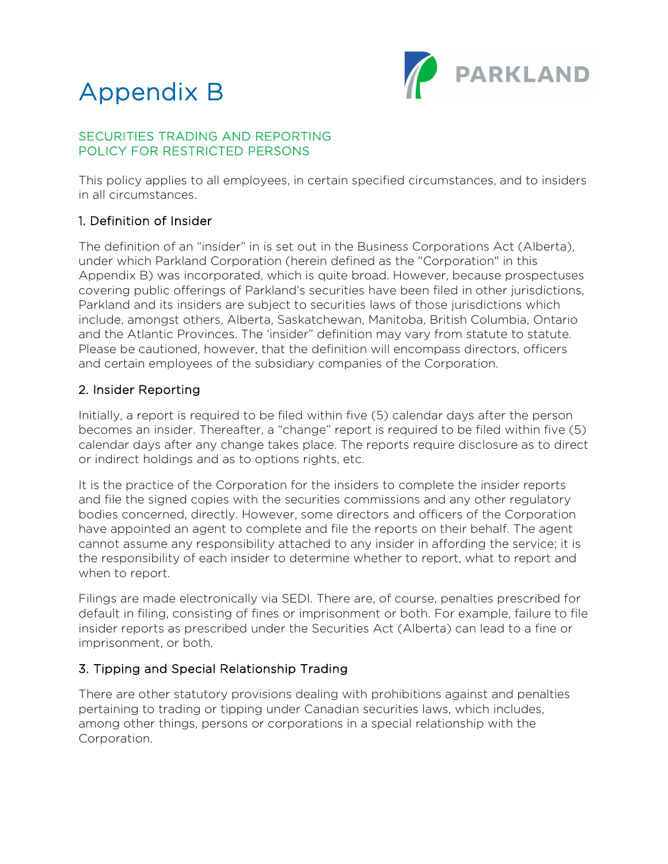# Appendix B



## SECURITIES TRADING AND REPORTING POLICY FOR RESTRICTED PERSONS

This policy applies to all employees, in certain specified circumstances, and to insiders in all circumstances.

## 1. Definition of Insider

The definition of an "insider" in is set out in the Business Corporations Act (Alberta), under which Parkland Corporation (herein defined as the "Corporation" in this Appendix B) was incorporated, which is quite broad. However, because prospectuses covering public offerings of Parkland's securities have been filed in other jurisdictions, Parkland and its insiders are subject to securities laws of those jurisdictions which include, amongst others, Alberta, Saskatchewan, Manitoba, British Columbia, Ontario and the Atlantic Provinces. The 'insider" definition may vary from statute to statute. Please be cautioned, however, that the definition will encompass directors, officers and certain employees of the subsidiary companies of the Corporation.

### 2. Insider Reporting

Initially, a report is required to be filed within five (5) calendar days after the person becomes an insider. Thereafter, a "change" report is required to be filed within five (5) calendar days after any change takes place. The reports require disclosure as to direct or indirect holdings and as to options rights, etc.

It is the practice of the Corporation for the insiders to complete the insider reports and file the signed copies with the securities commissions and any other regulatory bodies concerned, directly. However, some directors and officers of the Corporation have appointed an agent to complete and file the reports on their behalf. The agent cannot assume any responsibility attached to any insider in affording the service; it is the responsibility of each insider to determine whether to report, what to report and when to report.

Filings are made electronically via SEDI. There are, of course, penalties prescribed for default in filing, consisting of fines or imprisonment or both. For example, failure to file insider reports as prescribed under the Securities Act (Alberta) can lead to a fine or imprisonment, or both.

## 3. Tipping and Special Relationship Trading

There are other statutory provisions dealing with prohibitions against and penalties pertaining to trading or tipping under Canadian securities laws, which includes, among other things, persons or corporations in a special relationship with the Corporation.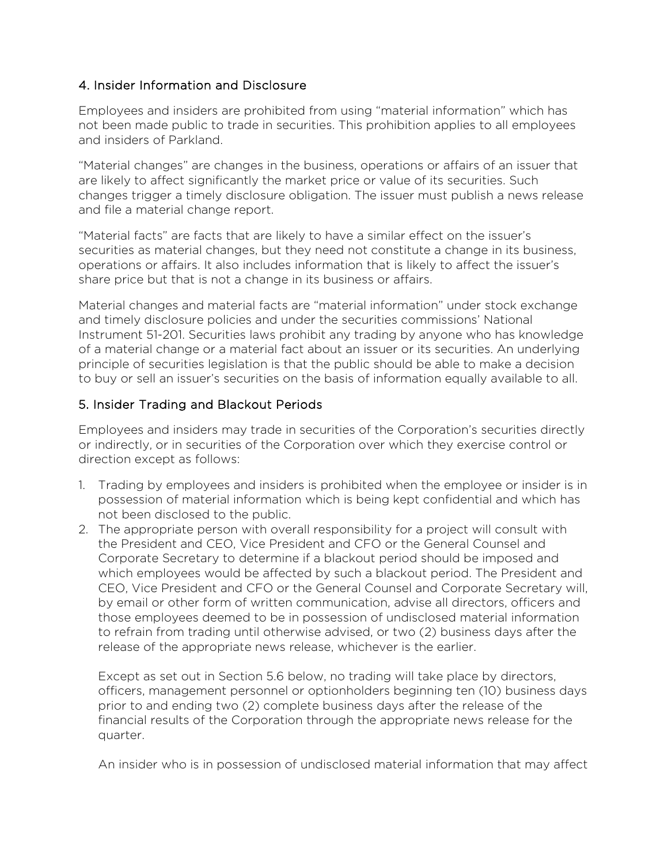### 4. Insider Information and Disclosure

Employees and insiders are prohibited from using "material information" which has not been made public to trade in securities. This prohibition applies to all employees and insiders of Parkland.

"Material changes" are changes in the business, operations or affairs of an issuer that are likely to affect significantly the market price or value of its securities. Such changes trigger a timely disclosure obligation. The issuer must publish a news release and file a material change report.

"Material facts" are facts that are likely to have a similar effect on the issuer's securities as material changes, but they need not constitute a change in its business, operations or affairs. It also includes information that is likely to affect the issuer's share price but that is not a change in its business or affairs.

Material changes and material facts are "material information" under stock exchange and timely disclosure policies and under the securities commissions' National Instrument 51-201. Securities laws prohibit any trading by anyone who has knowledge of a material change or a material fact about an issuer or its securities. An underlying principle of securities legislation is that the public should be able to make a decision to buy or sell an issuer's securities on the basis of information equally available to all.

### 5. Insider Trading and Blackout Periods

Employees and insiders may trade in securities of the Corporation's securities directly or indirectly, or in securities of the Corporation over which they exercise control or direction except as follows:

- 1. Trading by employees and insiders is prohibited when the employee or insider is in possession of material information which is being kept confidential and which has not been disclosed to the public.
- 2. The appropriate person with overall responsibility for a project will consult with the President and CEO, Vice President and CFO or the General Counsel and Corporate Secretary to determine if a blackout period should be imposed and which employees would be affected by such a blackout period. The President and CEO, Vice President and CFO or the General Counsel and Corporate Secretary will, by email or other form of written communication, advise all directors, officers and those employees deemed to be in possession of undisclosed material information to refrain from trading until otherwise advised, or two (2) business days after the release of the appropriate news release, whichever is the earlier.

Except as set out in Section 5.6 below, no trading will take place by directors, officers, management personnel or optionholders beginning ten (10) business days prior to and ending two (2) complete business days after the release of the financial results of the Corporation through the appropriate news release for the quarter.

An insider who is in possession of undisclosed material information that may affect